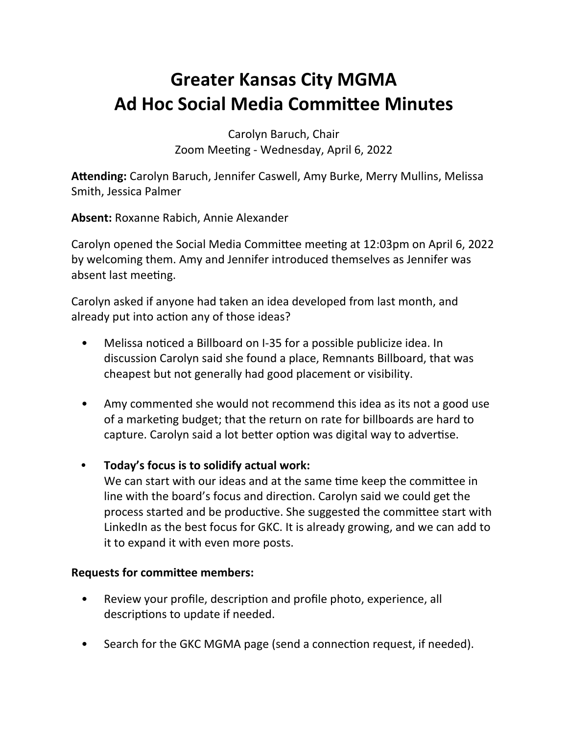# **Greater Kansas City MGMA Ad Hoc Social Media Committee Minutes**

Carolyn Baruch, Chair Zoom Meeting - Wednesday, April 6, 2022

Attending: Carolyn Baruch, Jennifer Caswell, Amy Burke, Merry Mullins, Melissa Smith, Jessica Palmer

**Absent:** Roxanne Rabich, Annie Alexander

Carolyn opened the Social Media Committee meeting at 12:03pm on April 6, 2022 by welcoming them. Amy and Jennifer introduced themselves as Jennifer was absent last meeting.

Carolyn asked if anyone had taken an idea developed from last month, and already put into action any of those ideas?

- Melissa noticed a Billboard on I-35 for a possible publicize idea. In discussion Carolyn said she found a place, Remnants Billboard, that was cheapest but not generally had good placement or visibility.
- Amy commented she would not recommend this idea as its not a good use of a marketing budget; that the return on rate for billboards are hard to capture. Carolyn said a lot better option was digital way to advertise.
- Today's focus is to solidify actual work:

We can start with our ideas and at the same time keep the committee in line with the board's focus and direction. Carolyn said we could get the process started and be productive. She suggested the committee start with LinkedIn as the best focus for GKC. It is already growing, and we can add to it to expand it with even more posts.

## **Requests for committee members:**

- Review your profile, description and profile photo, experience, all descriptions to update if needed.
- Search for the GKC MGMA page (send a connection request, if needed).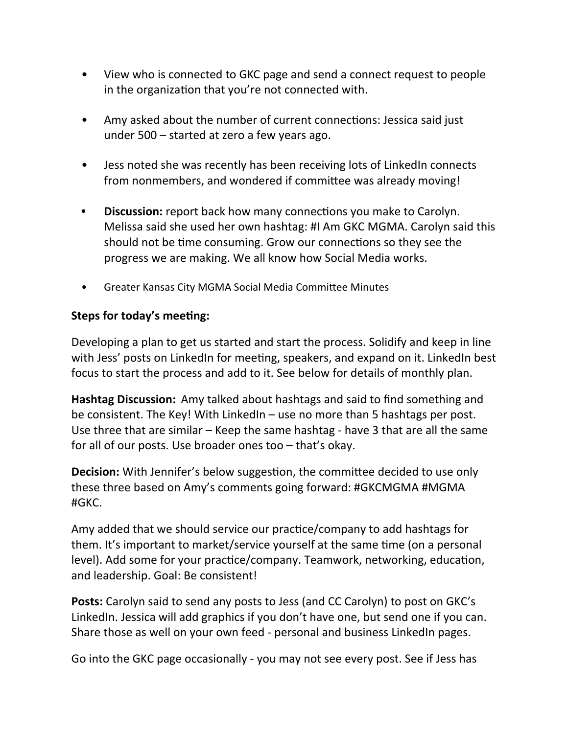- View who is connected to GKC page and send a connect request to people in the organization that you're not connected with.
- Amy asked about the number of current connections: Jessica said just under  $500 -$  started at zero a few years ago.
- Jess noted she was recently has been receiving lots of LinkedIn connects from nonmembers, and wondered if committee was already moving!
- Discussion: report back how many connections you make to Carolyn. Melissa said she used her own hashtag: #I Am GKC MGMA. Carolyn said this should not be time consuming. Grow our connections so they see the progress we are making. We all know how Social Media works.
- Greater Kansas City MGMA Social Media Committee Minutes

## **Steps for today's meeting:**

Developing a plan to get us started and start the process. Solidify and keep in line with Jess' posts on LinkedIn for meeting, speakers, and expand on it. LinkedIn best focus to start the process and add to it. See below for details of monthly plan.

**Hashtag Discussion:** Amy talked about hashtags and said to find something and be consistent. The Key! With LinkedIn  $-$  use no more than 5 hashtags per post. Use three that are similar  $-$  Keep the same hashtag - have 3 that are all the same for all of our posts. Use broader ones too  $-$  that's okay.

**Decision:** With Jennifer's below suggestion, the committee decided to use only these three based on Amy's comments going forward: #GKCMGMA #MGMA #GKC.

Amy added that we should service our practice/company to add hashtags for them. It's important to market/service yourself at the same time (on a personal level). Add some for your practice/company. Teamwork, networking, education, and leadership. Goal: Be consistent!

**Posts:** Carolyn said to send any posts to Jess (and CC Carolyn) to post on GKC's LinkedIn. Jessica will add graphics if you don't have one, but send one if you can. Share those as well on your own feed - personal and business LinkedIn pages.

Go into the GKC page occasionally - you may not see every post. See if Jess has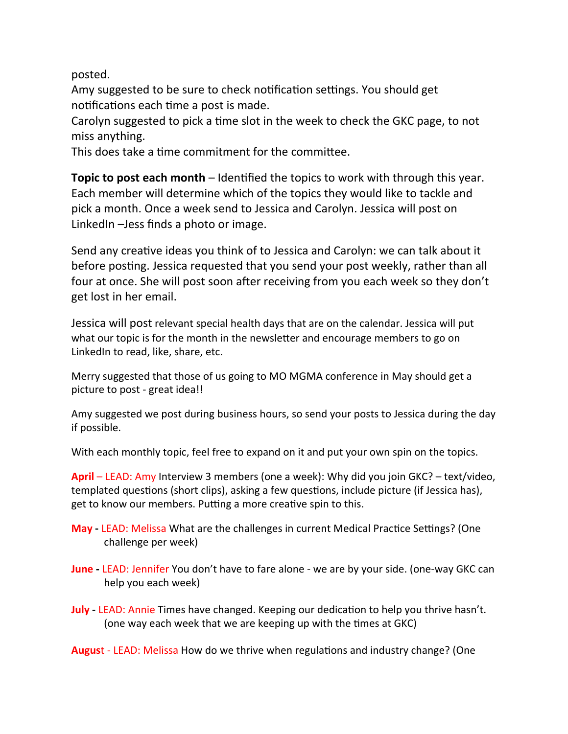posted.

Amy suggested to be sure to check notification settings. You should get notifications each time a post is made.

Carolyn suggested to pick a time slot in the week to check the GKC page, to not miss anything.

This does take a time commitment for the committee.

**Topic to post each month** – Identified the topics to work with through this year. Each member will determine which of the topics they would like to tackle and pick a month. Once a week send to Jessica and Carolyn. Jessica will post on LinkedIn -Jess finds a photo or image.

Send any creative ideas you think of to Jessica and Carolyn: we can talk about it before posting. Jessica requested that you send your post weekly, rather than all four at once. She will post soon after receiving from you each week so they don't get lost in her email.

Jessica will post relevant special health days that are on the calendar. Jessica will put what our topic is for the month in the newsletter and encourage members to go on LinkedIn to read, like, share, etc.

Merry suggested that those of us going to MO MGMA conference in May should get a picture to post - great idea!!

Amy suggested we post during business hours, so send your posts to Jessica during the day if possible.

With each monthly topic, feel free to expand on it and put your own spin on the topics.

**April** – LEAD: Amy Interview 3 members (one a week): Why did you join GKC? – text/video, templated questions (short clips), asking a few questions, include picture (if Jessica has), get to know our members. Putting a more creative spin to this.

- **May** LEAD: Melissa What are the challenges in current Medical Practice Settings? (One challenge per week)
- **June** LEAD: Jennifer You don't have to fare alone we are by your side. (one-way GKC can help you each week)
- **July** LEAD: Annie Times have changed. Keeping our dedication to help you thrive hasn't. (one way each week that we are keeping up with the times at GKC)

**August** - LEAD: Melissa How do we thrive when regulations and industry change? (One